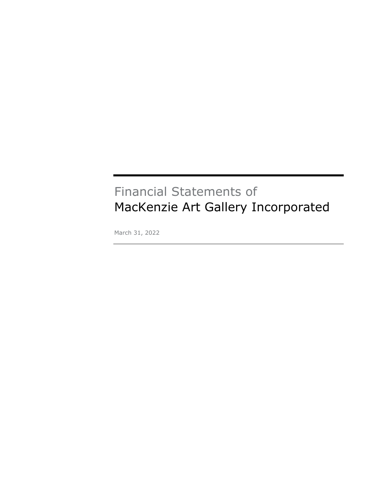## Financial Statements of MacKenzie Art Gallery Incorporated

March 31, 2022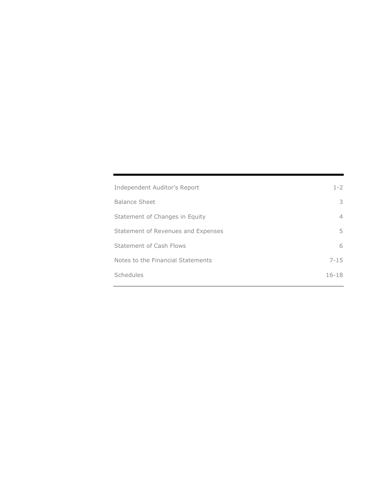| Independent Auditor's Report       | $1 - 2$   |
|------------------------------------|-----------|
| Balance Sheet                      | 3         |
| Statement of Changes in Equity     | 4         |
| Statement of Revenues and Expenses | 5         |
| Statement of Cash Flows            | 6         |
| Notes to the Financial Statements  | $7 - 15$  |
| Schedules                          | $16 - 18$ |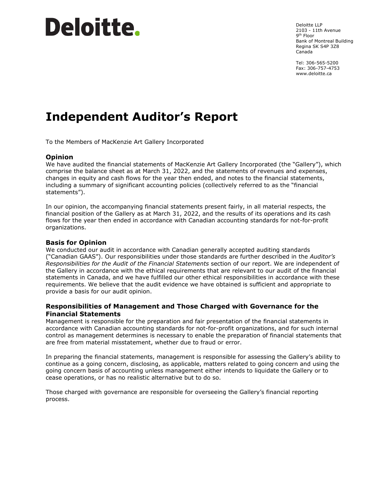# Deloitte.

Deloitte LLP 2103 - 11th Avenue 9th Floor Bank of Montreal Building Regina SK S4P 3Z8 Canada

Tel: 306-565-5200 Fax: 306-757-4753 www.deloitte.ca

## **Independent Auditor's Report**

To the Members of MacKenzie Art Gallery Incorporated

#### **Opinion**

We have audited the financial statements of MacKenzie Art Gallery Incorporated (the "Gallery"), which comprise the balance sheet as at March 31, 2022, and the statements of revenues and expenses, changes in equity and cash flows for the year then ended, and notes to the financial statements, including a summary of significant accounting policies (collectively referred to as the "financial statements").

In our opinion, the accompanying financial statements present fairly, in all material respects, the financial position of the Gallery as at March 31, 2022, and the results of its operations and its cash flows for the year then ended in accordance with Canadian accounting standards for not-for-profit organizations.

#### **Basis for Opinion**

We conducted our audit in accordance with Canadian generally accepted auditing standards ("Canadian GAAS"). Our responsibilities under those standards are further described in the *Auditor's Responsibilities for the Audit of the Financial Statements* section of our report. We are independent of the Gallery in accordance with the ethical requirements that are relevant to our audit of the financial statements in Canada, and we have fulfilled our other ethical responsibilities in accordance with these requirements. We believe that the audit evidence we have obtained is sufficient and appropriate to provide a basis for our audit opinion.

#### **Responsibilities of Management and Those Charged with Governance for the Financial Statements**

Management is responsible for the preparation and fair presentation of the financial statements in accordance with Canadian accounting standards for not-for-profit organizations, and for such internal control as management determines is necessary to enable the preparation of financial statements that are free from material misstatement, whether due to fraud or error.

In preparing the financial statements, management is responsible for assessing the Gallery's ability to continue as a going concern, disclosing, as applicable, matters related to going concern and using the going concern basis of accounting unless management either intends to liquidate the Gallery or to cease operations, or has no realistic alternative but to do so.

Those charged with governance are responsible for overseeing the Gallery's financial reporting process.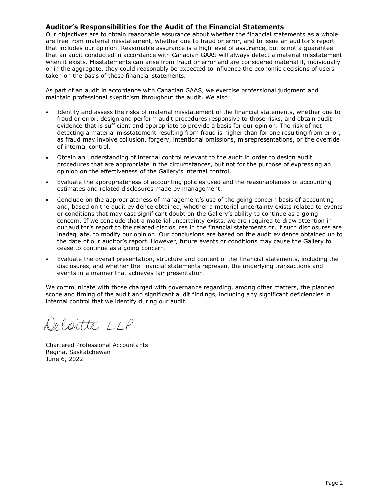#### **Auditor's Responsibilities for the Audit of the Financial Statements**

Our objectives are to obtain reasonable assurance about whether the financial statements as a whole are free from material misstatement, whether due to fraud or error, and to issue an auditor's report that includes our opinion. Reasonable assurance is a high level of assurance, but is not a guarantee that an audit conducted in accordance with Canadian GAAS will always detect a material misstatement when it exists. Misstatements can arise from fraud or error and are considered material if, individually or in the aggregate, they could reasonably be expected to influence the economic decisions of users taken on the basis of these financial statements.

As part of an audit in accordance with Canadian GAAS, we exercise professional judgment and maintain professional skepticism throughout the audit. We also:

- Identify and assess the risks of material misstatement of the financial statements, whether due to fraud or error, design and perform audit procedures responsive to those risks, and obtain audit evidence that is sufficient and appropriate to provide a basis for our opinion. The risk of not detecting a material misstatement resulting from fraud is higher than for one resulting from error, as fraud may involve collusion, forgery, intentional omissions, misrepresentations, or the override of internal control.
- Obtain an understanding of internal control relevant to the audit in order to design audit procedures that are appropriate in the circumstances, but not for the purpose of expressing an opinion on the effectiveness of the Gallery's internal control.
- Evaluate the appropriateness of accounting policies used and the reasonableness of accounting estimates and related disclosures made by management.
- Conclude on the appropriateness of management's use of the going concern basis of accounting and, based on the audit evidence obtained, whether a material uncertainty exists related to events or conditions that may cast significant doubt on the Gallery's ability to continue as a going concern. If we conclude that a material uncertainty exists, we are required to draw attention in our auditor's report to the related disclosures in the financial statements or, if such disclosures are inadequate, to modify our opinion. Our conclusions are based on the audit evidence obtained up to the date of our auditor's report. However, future events or conditions may cause the Gallery to cease to continue as a going concern.
- Evaluate the overall presentation, structure and content of the financial statements, including the disclosures, and whether the financial statements represent the underlying transactions and events in a manner that achieves fair presentation.

We communicate with those charged with governance regarding, among other matters, the planned scope and timing of the audit and significant audit findings, including any significant deficiencies in internal control that we identify during our audit.

Cloitte LLP

Chartered Professional Accountants Regina, Saskatchewan June 6, 2022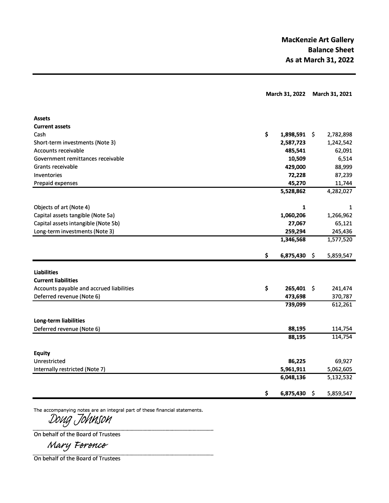|                                          | March 31, 2022 |              | March 31, 2021 |           |
|------------------------------------------|----------------|--------------|----------------|-----------|
|                                          |                |              |                |           |
| <b>Assets</b>                            |                |              |                |           |
| <b>Current assets</b>                    |                |              |                |           |
| Cash                                     | \$             | 1,898,591 \$ |                | 2,782,898 |
| Short-term investments (Note 3)          |                | 2,587,723    |                | 1,242,542 |
| Accounts receivable                      |                | 485,541      |                | 62,091    |
| Government remittances receivable        |                | 10,509       |                | 6,514     |
| Grants receivable                        |                | 429,000      |                | 88,999    |
| Inventories                              |                | 72,228       |                | 87,239    |
| Prepaid expenses                         |                | 45,270       |                | 11,744    |
|                                          |                | 5,528,862    |                | 4,282,027 |
|                                          |                |              |                |           |
| Objects of art (Note 4)                  |                | 1            |                | 1         |
| Capital assets tangible (Note 5a)        |                | 1,060,206    |                | 1,266,962 |
| Capital assets intangible (Note 5b)      |                | 27,067       |                | 65,121    |
| Long-term investments (Note 3)           |                | 259,294      |                | 245,436   |
|                                          |                | 1,346,568    |                | 1,577,520 |
|                                          | \$             | 6,875,430 \$ |                | 5,859,547 |
|                                          |                |              |                |           |
| <b>Liabilities</b>                       |                |              |                |           |
| <b>Current liabilities</b>               |                |              |                |           |
| Accounts payable and accrued liabilities | \$             | 265,401 \$   |                | 241,474   |
| Deferred revenue (Note 6)                |                | 473,698      |                | 370,787   |
|                                          |                | 739,099      |                | 612,261   |
|                                          |                |              |                |           |
| Long-term liabilities                    |                |              |                |           |
| Deferred revenue (Note 6)                |                | 88,195       |                | 114,754   |
|                                          |                | 88,195       |                | 114,754   |
| <b>Equity</b>                            |                |              |                |           |
| Unrestricted                             |                | 86,225       |                | 69,927    |
| Internally restricted (Note 7)           |                | 5,961,911    |                | 5,062,605 |
|                                          |                | 6,048,136    |                | 5,132,532 |
|                                          |                |              |                |           |
|                                          | \$             | 6,875,430 \$ |                | 5,859,547 |

The accompanying notes are an integral part of these financial statements.

*�ug �/t,tJt),t* 

On behalf of the Board of Trustees<br>Mary Ference

On behalf of the Board of Trustees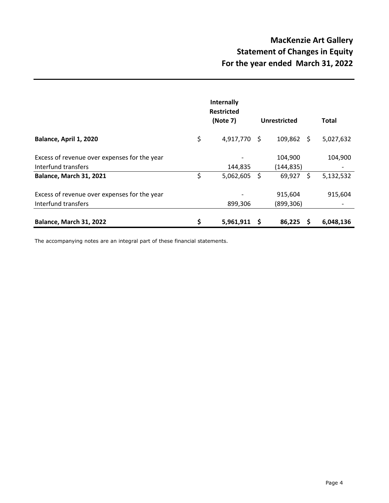## **MacKenzie Art Gallery Statement of Changes in Equity For the year ended March 31, 2022**

|                                              | Internally<br><b>Restricted</b><br>(Note 7) |     | Unrestricted      |     | <b>Total</b> |
|----------------------------------------------|---------------------------------------------|-----|-------------------|-----|--------------|
|                                              |                                             |     |                   |     |              |
| Balance, April 1, 2020                       | \$<br>4,917,770                             | - S | $109,862 \quad $$ |     | 5,027,632    |
| Excess of revenue over expenses for the year |                                             |     | 104,900           |     | 104,900      |
| Interfund transfers                          | 144,835                                     |     | (144,835)         |     |              |
| <b>Balance, March 31, 2021</b>               | \$<br>5,062,605                             | - S | 69,927            | S   | 5,132,532    |
| Excess of revenue over expenses for the year |                                             |     | 915,604           |     | 915,604      |
| Interfund transfers                          | 899,306                                     |     | (899,306)         |     |              |
|                                              |                                             |     |                   |     |              |
| Balance, March 31, 2022                      | \$<br>5,961,911                             | -S  | 86,225            | - S | 6,048,136    |

The accompanying notes are an integral part of these financial statements.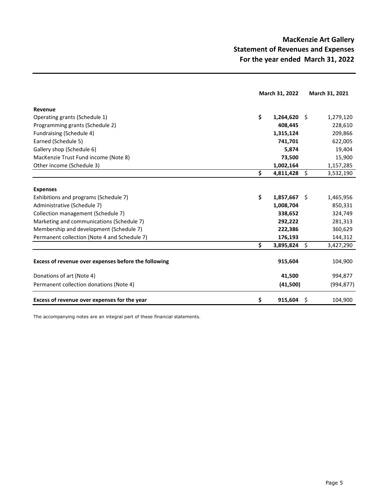### **MacKenzie Art Gallery Statement of Revenues and Expenses For the year ended March 31, 2022**

|                                                      | March 31, 2022     |     | March 31, 2021 |
|------------------------------------------------------|--------------------|-----|----------------|
| Revenue                                              |                    |     |                |
| Operating grants (Schedule 1)                        | \$<br>1,264,620    | - Ś | 1,279,120      |
| Programming grants (Schedule 2)                      | 408,445            |     | 228,610        |
| Fundraising (Schedule 4)                             | 1,315,124          |     | 209,866        |
| Earned (Schedule 5)                                  | 741,701            |     | 622,005        |
| Gallery shop (Schedule 6)                            | 5,874              |     | 19,404         |
| MacKenzie Trust Fund income (Note 8)                 | 73,500             |     | 15,900         |
| Other income (Schedule 3)                            | 1,002,164          |     | 1,157,285      |
|                                                      | \$<br>4,811,428    | \$  | 3,532,190      |
|                                                      |                    |     |                |
| <b>Expenses</b>                                      |                    |     |                |
| Exhibitions and programs (Schedule 7)                | \$<br>1,857,667    | Ŝ.  | 1,465,956      |
| Administrative (Schedule 7)                          | 1,008,704          |     | 850,331        |
| Collection management (Schedule 7)                   | 338,652            |     | 324,749        |
| Marketing and communications (Schedule 7)            | 292,222            |     | 281,313        |
| Membership and development (Schedule 7)              | 222,386            |     | 360,629        |
| Permanent collection (Note 4 and Schedule 7)         | 176,193            |     | 144,312        |
|                                                      | \$<br>3,895,824    | Ŝ.  | 3,427,290      |
|                                                      |                    |     |                |
| Excess of revenue over expenses before the following | 915,604            |     | 104,900        |
| Donations of art (Note 4)                            | 41,500             |     | 994,877        |
| Permanent collection donations (Note 4)              | (41,500)           |     | (994, 877)     |
| Excess of revenue over expenses for the year         | \$<br>$915,604$ \$ |     | 104,900        |

The accompanying notes are an integral part of these financial statements.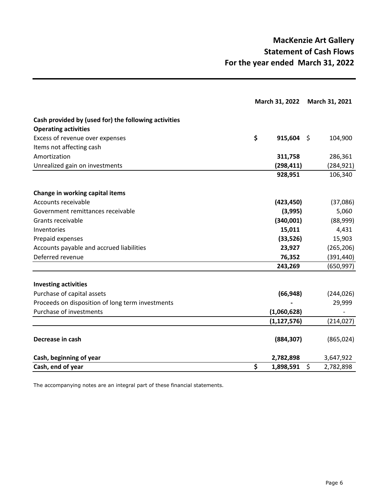|                                                      | March 31, 2022     | March 31, 2021  |
|------------------------------------------------------|--------------------|-----------------|
| Cash provided by (used for) the following activities |                    |                 |
| <b>Operating activities</b>                          |                    |                 |
| Excess of revenue over expenses                      | \$<br>$915,604$ \$ | 104,900         |
| Items not affecting cash                             |                    |                 |
| Amortization                                         | 311,758            | 286,361         |
| Unrealized gain on investments                       | (298, 411)         | (284, 921)      |
|                                                      | 928,951            | 106,340         |
| Change in working capital items                      |                    |                 |
| Accounts receivable                                  | (423, 450)         | (37,086)        |
| Government remittances receivable                    | (3,995)            | 5,060           |
| Grants receivable                                    | (340,001)          | (88,999)        |
| Inventories                                          | 15,011             | 4,431           |
| Prepaid expenses                                     | (33, 526)          | 15,903          |
| Accounts payable and accrued liabilities             | 23,927             | (265, 206)      |
| Deferred revenue                                     | 76,352             | (391, 440)      |
|                                                      | 243,269            | (650, 997)      |
| <b>Investing activities</b>                          |                    |                 |
| Purchase of capital assets                           | (66, 948)          | (244, 026)      |
| Proceeds on disposition of long term investments     |                    | 29,999          |
| Purchase of investments                              | (1,060,628)        |                 |
|                                                      | (1, 127, 576)      | (214, 027)      |
| Decrease in cash                                     | (884, 307)         | (865, 024)      |
| Cash, beginning of year                              | 2,782,898          | 3,647,922       |
| Cash, end of year                                    | \$<br>1,898,591    | \$<br>2,782,898 |

The accompanying notes are an integral part of these financial statements.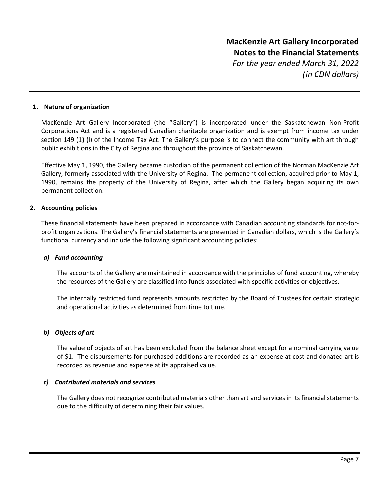**MacKenzie Art Gallery Incorporated Notes to the Financial Statements** *For the year ended March 31, 2022* 

*(in CDN dollars)*

#### **1. Nature of organization**

MacKenzie Art Gallery Incorporated (the "Gallery") is incorporated under the Saskatchewan Non-Profit Corporations Act and is a registered Canadian charitable organization and is exempt from income tax under section 149 (1) (l) of the Income Tax Act. The Gallery's purpose is to connect the community with art through public exhibitions in the City of Regina and throughout the province of Saskatchewan.

Effective May 1, 1990, the Gallery became custodian of the permanent collection of the Norman MacKenzie Art Gallery, formerly associated with the University of Regina. The permanent collection, acquired prior to May 1, 1990, remains the property of the University of Regina, after which the Gallery began acquiring its own permanent collection.

#### **2. Accounting policies**

These financial statements have been prepared in accordance with Canadian accounting standards for not-forprofit organizations. The Gallery's financial statements are presented in Canadian dollars, which is the Gallery's functional currency and include the following significant accounting policies:

#### *a) Fund accounting*

The accounts of the Gallery are maintained in accordance with the principles of fund accounting, whereby the resources of the Gallery are classified into funds associated with specific activities or objectives.

The internally restricted fund represents amounts restricted by the Board of Trustees for certain strategic and operational activities as determined from time to time.

#### *b) Objects of art*

The value of objects of art has been excluded from the balance sheet except for a nominal carrying value of \$1. The disbursements for purchased additions are recorded as an expense at cost and donated art is recorded as revenue and expense at its appraised value.

#### *c) Contributed materials and services*

The Gallery does not recognize contributed materials other than art and services in its financial statements due to the difficulty of determining their fair values.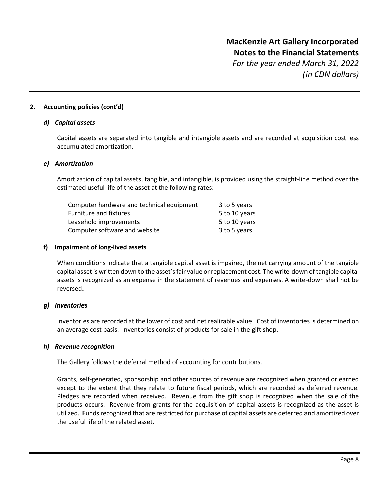*For the year ended March 31, 2022 (in CDN dollars)*

#### **2. Accounting policies (cont'd)**

#### *d) Capital assets*

Capital assets are separated into tangible and intangible assets and are recorded at acquisition cost less accumulated amortization.

#### *e) Amortization*

Amortization of capital assets, tangible, and intangible, is provided using the straight-line method over the estimated useful life of the asset at the following rates:

| Computer hardware and technical equipment | 3 to 5 years  |
|-------------------------------------------|---------------|
| <b>Furniture and fixtures</b>             | 5 to 10 years |
| Leasehold improvements                    | 5 to 10 years |
| Computer software and website             | 3 to 5 years  |

#### **f) Impairment of long-lived assets**

When conditions indicate that a tangible capital asset is impaired, the net carrying amount of the tangible capital asset is written down to the asset's fair value or replacement cost. The write-down of tangible capital assets is recognized as an expense in the statement of revenues and expenses. A write-down shall not be reversed.

#### *g) Inventories*

Inventories are recorded at the lower of cost and net realizable value. Cost of inventories is determined on an average cost basis. Inventories consist of products for sale in the gift shop.

#### *h) Revenue recognition*

The Gallery follows the deferral method of accounting for contributions.

Grants, self-generated, sponsorship and other sources of revenue are recognized when granted or earned except to the extent that they relate to future fiscal periods, which are recorded as deferred revenue. Pledges are recorded when received. Revenue from the gift shop is recognized when the sale of the products occurs. Revenue from grants for the acquisition of capital assets is recognized as the asset is utilized. Funds recognized that are restricted for purchase of capital assets are deferred and amortized over the useful life of the related asset.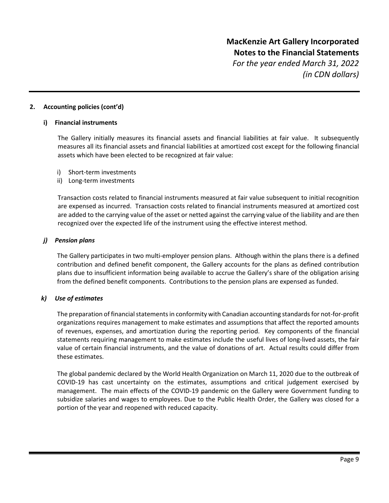*(in CDN dollars)*

#### **2. Accounting policies (cont'd)**

#### **i) Financial instruments**

The Gallery initially measures its financial assets and financial liabilities at fair value. It subsequently measures all its financial assets and financial liabilities at amortized cost except for the following financial assets which have been elected to be recognized at fair value:

- i) Short-term investments
- ii) Long-term investments

Transaction costs related to financial instruments measured at fair value subsequent to initial recognition are expensed as incurred. Transaction costs related to financial instruments measured at amortized cost are added to the carrying value of the asset or netted against the carrying value of the liability and are then recognized over the expected life of the instrument using the effective interest method.

#### *j) Pension plans*

The Gallery participates in two multi-employer pension plans. Although within the plans there is a defined contribution and defined benefit component, the Gallery accounts for the plans as defined contribution plans due to insufficient information being available to accrue the Gallery's share of the obligation arising from the defined benefit components. Contributions to the pension plans are expensed as funded.

#### *k) Use of estimates*

The preparation of financial statements in conformity with Canadian accounting standards for not-for-profit organizations requires management to make estimates and assumptions that affect the reported amounts of revenues, expenses, and amortization during the reporting period. Key components of the financial statements requiring management to make estimates include the useful lives of long-lived assets, the fair value of certain financial instruments, and the value of donations of art. Actual results could differ from these estimates.

The global pandemic declared by the World Health Organization on March 11, 2020 due to the outbreak of COVID-19 has cast uncertainty on the estimates, assumptions and critical judgement exercised by management. The main effects of the COVID-19 pandemic on the Gallery were Government funding to subsidize salaries and wages to employees. Due to the Public Health Order, the Gallery was closed for a portion of the year and reopened with reduced capacity.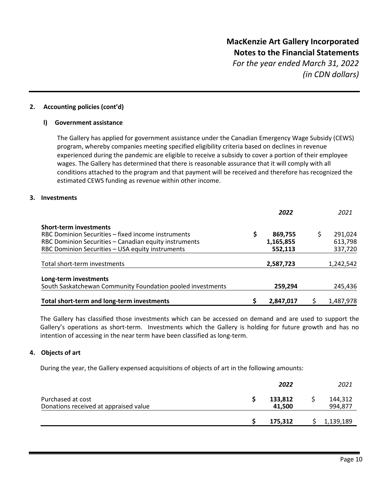*For the year ended March 31, 2022 (in CDN dollars)*

#### **2. Accounting policies (cont'd)**

#### **l) Government assistance**

The Gallery has applied for government assistance under the Canadian Emergency Wage Subsidy (CEWS) program, whereby companies meeting specified eligibility criteria based on declines in revenue experienced during the pandemic are eligible to receive a subsidy to cover a portion of their employee wages. The Gallery has determined that there is reasonable assurance that it will comply with all conditions attached to the program and that payment will be received and therefore has recognized the estimated CEWS funding as revenue within other income.

#### **3. Investments**

|                                                            |    | 2022      |   | 2021      |
|------------------------------------------------------------|----|-----------|---|-----------|
| <b>Short-term investments</b>                              |    |           |   |           |
| RBC Dominion Securities – fixed income instruments         | \$ | 869,755   | S | 291,024   |
| RBC Dominion Securities - Canadian equity instruments      |    | 1,165,855 |   | 613,798   |
| RBC Dominion Securities – USA equity instruments           |    | 552,113   |   | 337,720   |
| Total short-term investments                               |    | 2,587,723 |   | 1,242,542 |
| Long-term investments                                      |    |           |   |           |
| South Saskatchewan Community Foundation pooled investments |    | 259,294   |   | 245,436   |
|                                                            |    |           |   |           |
| Total short-term and long-term investments                 | S  | 2,847,017 |   | 1,487,978 |

The Gallery has classified those investments which can be accessed on demand and are used to support the Gallery's operations as short-term. Investments which the Gallery is holding for future growth and has no intention of accessing in the near term have been classified as long-term.

#### **4. Objects of art**

During the year, the Gallery expensed acquisitions of objects of art in the following amounts:

|                                                            | 2022              | 2021               |
|------------------------------------------------------------|-------------------|--------------------|
| Purchased at cost<br>Donations received at appraised value | 133,812<br>41,500 | 144,312<br>994,877 |
|                                                            | 175,312           | 1,139,189          |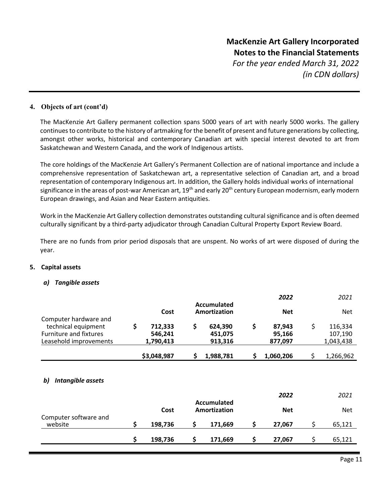*For the year ended March 31, 2022 (in CDN dollars)*

#### **4. Objects of art (cont'd)**

The MacKenzie Art Gallery permanent collection spans 5000 years of art with nearly 5000 works. The gallery continues to contribute to the history of artmaking for the benefit of present and future generations by collecting, amongst other works, historical and contemporary Canadian art with special interest devoted to art from Saskatchewan and Western Canada, and the work of Indigenous artists.

The core holdings of the MacKenzie Art Gallery's Permanent Collection are of national importance and include a comprehensive representation of Saskatchewan art, a representative selection of Canadian art, and a broad representation of contemporary Indigenous art. In addition, the Gallery holds individual works of international significance in the areas of post-war American art, 19<sup>th</sup> and early 20<sup>th</sup> century European modernism, early modern European drawings, and Asian and Near Eastern antiquities.

Work in the MacKenzie Art Gallery collection demonstrates outstanding cultural significance and is often deemed culturally significant by a third-party adjudicator through Canadian Cultural Property Export Review Board.

There are no funds from prior period disposals that are unspent. No works of art were disposed of during the year.

#### **5. Capital assets**

#### *a) Tangible assets*

|                                                                                                         |                                       |                                     | 2022                              | 2021                                  |
|---------------------------------------------------------------------------------------------------------|---------------------------------------|-------------------------------------|-----------------------------------|---------------------------------------|
|                                                                                                         |                                       | Accumulated                         |                                   |                                       |
|                                                                                                         | Cost                                  | Amortization                        | <b>Net</b>                        | Net                                   |
| Computer hardware and<br>technical equipment<br><b>Furniture and fixtures</b><br>Leasehold improvements | \$<br>712,333<br>546,241<br>1,790,413 | \$<br>624,390<br>451,075<br>913,316 | \$<br>87,943<br>95,166<br>877,097 | \$<br>116,334<br>107,190<br>1,043,438 |
|                                                                                                         | \$3,048,987                           | \$<br>1,988,781                     | \$<br>1,060,206                   | \$<br>1,266,962                       |
| Intangible assets<br>b)                                                                                 |                                       |                                     |                                   |                                       |
|                                                                                                         |                                       | Accumulated                         | 2022                              | 2021                                  |
|                                                                                                         | Cost                                  | Amortization                        | <b>Net</b>                        | <b>Net</b>                            |
| Computer software and                                                                                   |                                       |                                     |                                   |                                       |
| website                                                                                                 | \$<br>198,736                         | \$<br>171,669                       | \$<br>27,067                      | \$<br>65,121                          |
|                                                                                                         | \$<br>198,736                         | \$<br>171,669                       | \$<br>27,067                      | \$<br>65,121                          |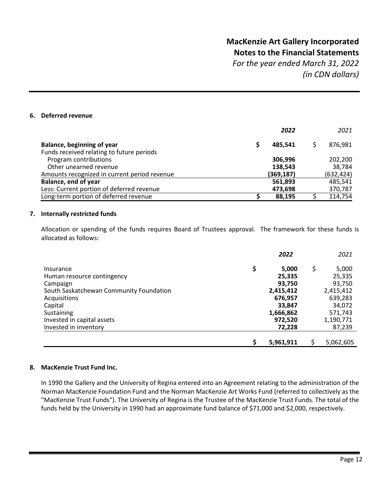*For the year ended March 31, 2022 (in CDN dollars)*

#### **6. Deferred revenue**

|                                              | 2022      | 2021       |
|----------------------------------------------|-----------|------------|
| <b>Balance, beginning of year</b>            | 485.541   | 876,981    |
| Funds received relating to future periods    |           |            |
| Program contributions                        | 306,996   | 202,200    |
| Other unearned revenue                       | 138,543   | 38,784     |
| Amounts recognized in current period revenue | (369,187) | (632, 424) |
| <b>Balance, end of year</b>                  | 561,893   | 485,541    |
| Less: Current portion of deferred revenue    | 473,698   | 370,787    |
| Long-term portion of deferred revenue        | 88,195    | 114,754    |

#### **7. Internally restricted funds**

Allocation or spending of the funds requires Board of Trustees approval. The framework for these funds is allocated as follows:

|                                                         | 2022                            | 2021                            |
|---------------------------------------------------------|---------------------------------|---------------------------------|
| Insurance<br>Human resource contingency<br>Campaign     | \$<br>5,000<br>25,335<br>93,750 | \$<br>5,000<br>25,335<br>93,750 |
| South Saskatchewan Community Foundation<br>Acquisitions | 2,415,412<br>676,957            | 2,415,412<br>639,283            |
| Capital<br>Sustaining<br>Invested in capital assets     | 33,847<br>1,666,862<br>972,520  | 34,072<br>571,743<br>1,190,771  |
| Invested in inventory                                   | 72,228                          | 87,239                          |
|                                                         | \$<br>5,961,911                 | 5,062,605                       |

#### **8. MacKenzie Trust Fund Inc.**

In 1990 the Gallery and the University of Regina entered into an Agreement relating to the administration of the Norman MacKenzie Foundation Fund and the Norman MacKenzie Art Works Fund (referred to collectively as the "MacKenzie Trust Funds"). The University of Regina is the Trustee of the MacKenzie Trust Funds. The total of the funds held by the University in 1990 had an approximate fund balance of \$71,000 and \$2,000, respectively.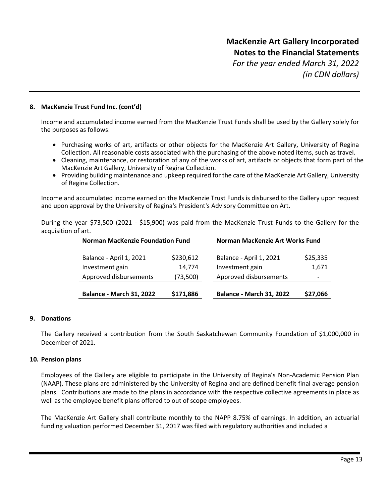*For the year ended March 31, 2022 (in CDN dollars)*

#### **8. MacKenzie Trust Fund Inc. (cont'd)**

Income and accumulated income earned from the MacKenzie Trust Funds shall be used by the Gallery solely for the purposes as follows:

- Purchasing works of art, artifacts or other objects for the MacKenzie Art Gallery, University of Regina Collection. All reasonable costs associated with the purchasing of the above noted items, such as travel.
- Cleaning, maintenance, or restoration of any of the works of art, artifacts or objects that form part of the MacKenzie Art Gallery, University of Regina Collection.
- Providing building maintenance and upkeep required for the care of the MacKenzie Art Gallery, University of Regina Collection.

Income and accumulated income earned on the MacKenzie Trust Funds is disbursed to the Gallery upon request and upon approval by the University of Regina's President's Advisory Committee on Art.

During the year \$73,500 (2021 - \$15,900) was paid from the MacKenzie Trust Funds to the Gallery for the acquisition of art.

| <b>Norman MacKenzie Foundation Fund</b> |           | Norman MacKenzie Art Works Fund |          |  |  |  |
|-----------------------------------------|-----------|---------------------------------|----------|--|--|--|
| Balance - April 1, 2021                 | \$230,612 | Balance - April 1, 2021         | \$25,335 |  |  |  |
| Investment gain                         | 14.774    | Investment gain                 | 1,671    |  |  |  |
| Approved disbursements                  | (73, 500) | Approved disbursements          | ۰        |  |  |  |
| <b>Balance - March 31, 2022</b>         | \$171,886 | <b>Balance - March 31, 2022</b> | \$27,066 |  |  |  |

#### **9. Donations**

The Gallery received a contribution from the South Saskatchewan Community Foundation of \$1,000,000 in December of 2021.

#### **10. Pension plans**

Employees of the Gallery are eligible to participate in the University of Regina's Non-Academic Pension Plan (NAAP). These plans are administered by the University of Regina and are defined benefit final average pension plans. Contributions are made to the plans in accordance with the respective collective agreements in place as well as the employee benefit plans offered to out of scope employees.

The MacKenzie Art Gallery shall contribute monthly to the NAPP 8.75% of earnings. In addition, an actuarial funding valuation performed December 31, 2017 was filed with regulatory authorities and included a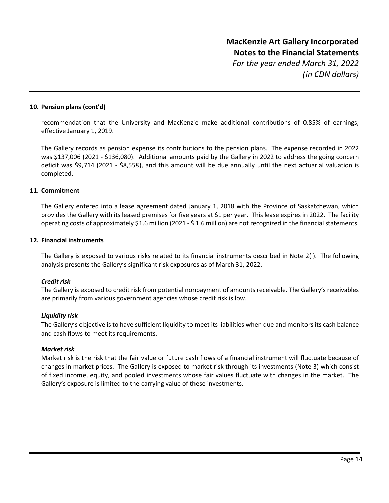*For the year ended March 31, 2022 (in CDN dollars)*

#### **10. Pension plans (cont'd)**

recommendation that the University and MacKenzie make additional contributions of 0.85% of earnings, effective January 1, 2019.

The Gallery records as pension expense its contributions to the pension plans. The expense recorded in 2022 was \$137,006 (2021 - \$136,080). Additional amounts paid by the Gallery in 2022 to address the going concern deficit was \$9,714 (2021 - \$8,558), and this amount will be due annually until the next actuarial valuation is completed.

#### **11. Commitment**

The Gallery entered into a lease agreement dated January 1, 2018 with the Province of Saskatchewan, which provides the Gallery with its leased premises for five years at \$1 per year. This lease expires in 2022. The facility operating costs of approximately \$1.6 million (2021 - \$ 1.6 million) are not recognized in the financial statements.

#### **12. Financial instruments**

The Gallery is exposed to various risks related to its financial instruments described in Note 2(i). The following analysis presents the Gallery's significant risk exposures as of March 31, 2022.

#### *Credit risk*

The Gallery is exposed to credit risk from potential nonpayment of amounts receivable. The Gallery's receivables are primarily from various government agencies whose credit risk is low.

#### *Liquidity risk*

The Gallery's objective is to have sufficient liquidity to meet its liabilities when due and monitors its cash balance and cash flows to meet its requirements.

#### *Market risk*

Market risk is the risk that the fair value or future cash flows of a financial instrument will fluctuate because of changes in market prices. The Gallery is exposed to market risk through its investments (Note 3) which consist of fixed income, equity, and pooled investments whose fair values fluctuate with changes in the market. The Gallery's exposure is limited to the carrying value of these investments.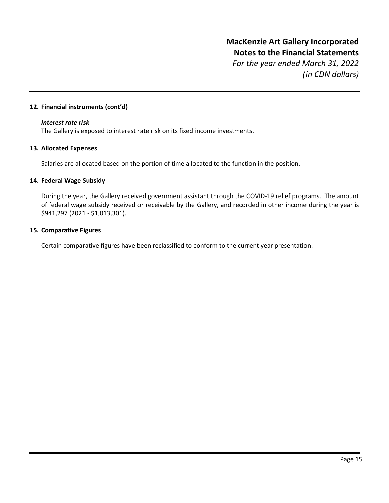*For the year ended March 31, 2022 (in CDN dollars)*

#### **12. Financial instruments (cont'd)**

#### *Interest rate risk*

The Gallery is exposed to interest rate risk on its fixed income investments.

#### **13. Allocated Expenses**

Salaries are allocated based on the portion of time allocated to the function in the position.

#### **14. Federal Wage Subsidy**

During the year, the Gallery received government assistant through the COVID-19 relief programs. The amount of federal wage subsidy received or receivable by the Gallery, and recorded in other income during the year is \$941,297 (2021 - \$1,013,301).

#### **15. Comparative Figures**

Certain comparative figures have been reclassified to conform to the current year presentation.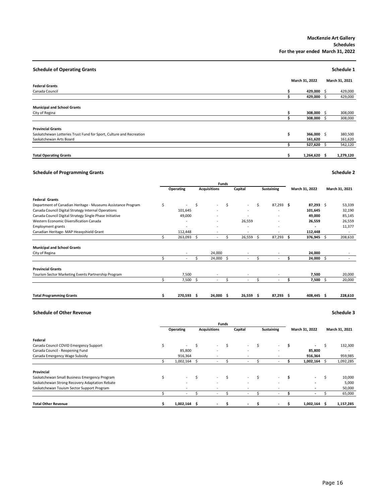| <b>Schedule of Operating Grants</b>                                 |    |                | Schedule 1     |
|---------------------------------------------------------------------|----|----------------|----------------|
|                                                                     |    | March 31, 2022 | March 31, 2021 |
| <b>Federal Grants</b>                                               |    |                |                |
| Canada Council                                                      | ¢  | 429,000 \$     | 429,000        |
|                                                                     |    | 429,000 \$     | 429,000        |
|                                                                     |    |                |                |
| <b>Municipal and School Grants</b>                                  |    |                |                |
| City of Regina                                                      |    | 308,000 \$     | 308,000        |
|                                                                     |    | 308,000 \$     | 308,000        |
|                                                                     |    |                |                |
| <b>Provincial Grants</b>                                            |    |                |                |
| Saskatchewan Lotteries Trust Fund for Sport, Culture and Recreation | \$ | 366,000 \$     | 380,500        |
| Saskatchewan Arts Board                                             |    | 161,620        | 161,620        |
|                                                                     |    | 527,620 \$     | 542,120        |
|                                                                     |    |                |                |
| <b>Total Operating Grants</b>                                       | Ś. | 1,264,620 \$   | 1,279,120      |

#### **Schedule of Programming Grants Schedule 2**

|                                                              |    | Operating                |     | <b>Acquisitions</b> |    | Capital                  | <b>Sustaining</b> |           |   | March 31, 2022 |    | March 31, 2021 |
|--------------------------------------------------------------|----|--------------------------|-----|---------------------|----|--------------------------|-------------------|-----------|---|----------------|----|----------------|
| <b>Federal Grants</b>                                        |    |                          |     |                     |    |                          |                   |           |   |                |    |                |
| Department of Canadian Heritage - Museums Assistance Program | Ś  | $\overline{\phantom{a}}$ | \$  | $\sim$              | \$ | $\sim$                   | \$                | 87,293 \$ |   | $87,293$ \$    |    | 53,339         |
| Canada Council Digital Strategy Internal Operations          |    | 101,645                  |     |                     |    |                          |                   |           |   | 101,645        |    | 32,190         |
| Canada Council Digital Strategy Single Phase Initiative      |    | 49,000                   |     |                     |    |                          |                   |           |   | 49,000         |    | 85,145         |
| Western Economic Diversification Canada                      |    |                          |     | ٠                   |    | 26,559                   |                   |           |   | 26,559         |    | 26,559         |
| <b>Employment grants</b>                                     |    |                          |     | ٠                   |    |                          |                   |           |   |                |    | 11,377         |
| Canadian Heritage- MAP Heavyshield Grant                     |    | 112,448                  |     |                     |    | $\overline{\phantom{a}}$ |                   |           |   | 112,448        |    |                |
|                                                              |    | 263,093                  |     |                     |    | 26,559                   |                   | 87,293    |   | 376,945        | -Ŝ | 208,610        |
| <b>Municipal and School Grants</b>                           |    |                          |     |                     |    |                          |                   |           |   |                |    |                |
| City of Regina                                               |    | ٠                        |     | 24,000              |    |                          |                   |           |   | 24,000         |    |                |
|                                                              |    |                          |     | 24,000              | Ś  | $\overline{\phantom{a}}$ |                   |           |   | 24,000 \$      |    |                |
| <b>Provincial Grants</b>                                     |    |                          |     |                     |    |                          |                   |           |   |                |    |                |
| Tourism Sector Marketing Events Partnership Program          |    | 7,500                    |     |                     |    |                          |                   |           |   | 7,500          |    | 20,000         |
|                                                              |    | 7,500                    | Ŝ.  | ٠                   |    |                          |                   |           |   | $7,500$ \$     |    | 20,000         |
|                                                              |    |                          |     |                     |    |                          |                   |           |   |                |    |                |
| <b>Total Programming Grants</b>                              | \$ | 270,593                  | \$. | 24,000              | Ŝ  | 26,559                   | \$                | 87,293    | Ŝ | 408,445        | -Ś | 228,610        |

#### **Schedule of Other Revenue Schedule 3**

|                                                |    | Operating                |    | <b>Acquisitions</b>      |    | Capital |    | <b>Sustaining</b> | March 31, 2022 |                | March 31, 2021 |
|------------------------------------------------|----|--------------------------|----|--------------------------|----|---------|----|-------------------|----------------|----------------|----------------|
| Federal                                        |    |                          |    |                          |    |         |    |                   |                |                |                |
| Canada Council COVID Emergency Support         |    | $\overline{\phantom{a}}$ | \$ | $\sim$                   | \$ | $\sim$  | Ŝ. | $\overline{a}$    | \$             | $\sim$         | 132,300        |
| Canada Council - Reopening Fund                |    | 85,800                   |    |                          |    |         |    |                   |                | 85,800         |                |
| Canada Emergency Wage Subsidy                  |    | 916,364                  |    | $\overline{\phantom{a}}$ |    |         |    |                   |                | 916,364        | 959,985        |
|                                                |    | 1,002,164                |    |                          |    | -       |    |                   |                | 1,002,164      | 1,092,285      |
| Provincial                                     |    |                          |    |                          |    |         |    |                   |                |                |                |
| Saskatchewan Small Business Emergency Program  | Ś. | $\sim$                   | Ŝ. | $\sim 100$               | Ś  | $\sim$  | Ŝ. | ٠                 | Ŝ              | $\sim$         | 10,000         |
| Saskatchewan Strong Recovery Adaptation Rebate |    | <b>.</b>                 |    | $\overline{\phantom{a}}$ |    | $\sim$  |    | ÷                 |                | ٠              | 5,000          |
| Saskatchewan Touism Sector Support Program     |    |                          |    | $\overline{\phantom{a}}$ |    |         |    |                   |                | $\blacksquare$ | 50,000         |
|                                                |    |                          |    |                          |    |         |    |                   |                |                | 65,000         |
| <b>Total Other Revenue</b>                     | ς  | $1,002,164$ \$           |    |                          |    |         |    |                   |                | $1,002,164$ \$ | 1,157,285      |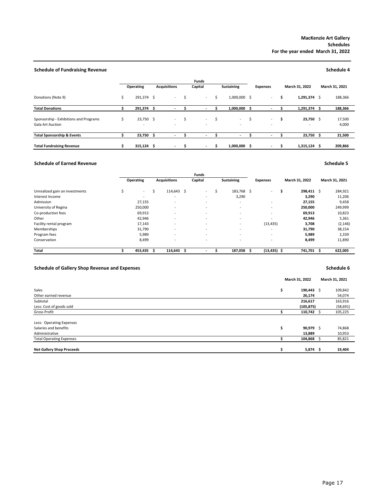Page 17

#### **Schedule of Fundraising Revenue Schedule 4**

|                                                                   |           |                          |                     |   | <b>Funds</b>             |   |                          |  |                          |                |                          |                |         |
|-------------------------------------------------------------------|-----------|--------------------------|---------------------|---|--------------------------|---|--------------------------|--|--------------------------|----------------|--------------------------|----------------|---------|
|                                                                   | Operating |                          | <b>Acquisitions</b> |   | Capital                  |   | <b>Sustaining</b>        |  | <b>Expenses</b>          | March 31, 2022 |                          | March 31, 2021 |         |
| Donations (Note 9)                                                | Ś         | 291,374 \$               | $\sim$              |   | $\overline{a}$           |   | 1,000,000 \$             |  | $\overline{\phantom{a}}$ |                | 1,291,374 \$             |                | 188,366 |
| <b>Total Donations</b>                                            |           | 291,374                  |                     |   |                          |   | 1,000,000                |  |                          |                | 1,291,374 \$             |                | 188,366 |
| Sponsorship - Exhibitions and Programs<br><b>Gala Art Auction</b> | Ś         | 23,750 \$                | $\sim$              | S | $\sim$                   |   | $\sim$                   |  | $\overline{\phantom{a}}$ |                | $23,750$ \$              |                | 17,500  |
|                                                                   |           | $\overline{\phantom{0}}$ | $\sim$              |   | $\overline{\phantom{a}}$ |   | $\overline{\phantom{a}}$ |  | $\overline{\phantom{a}}$ |                | $\overline{\phantom{a}}$ |                | 4,000   |
| <b>Total Sponsorship &amp; Events</b>                             |           | 23,750                   |                     |   |                          |   | $\overline{\phantom{a}}$ |  |                          |                | 23,750                   |                | 21,500  |
| <b>Total Fundraising Revenue</b>                                  |           | $315,124$ \$             | ۰                   |   | ۰                        | S | $1,000,000$ \$           |  | $\sim$                   |                | $1,315,124$ \$           |                | 209.866 |

#### **Schedule of Earned Revenue Schedule 5**

|                                |                  |   |                          |         | <b>Funds</b>             |                          |                          |                |              |                |          |
|--------------------------------|------------------|---|--------------------------|---------|--------------------------|--------------------------|--------------------------|----------------|--------------|----------------|----------|
|                                | <b>Operating</b> |   | <b>Acquisitions</b>      | Capital |                          | <b>Sustaining</b>        | <b>Expenses</b>          | March 31, 2022 |              | March 31, 2021 |          |
| Unrealized gain on investments | \$<br>$\sim$     | Ś | $114,643 \quad $$        |         | $\sim$                   | \$<br>183,768 \$         | ٠                        | \$             | $298,411$ \$ |                | 284,921  |
| Interest Income                | ٠                |   | -                        |         | $\overline{\phantom{a}}$ | 3,290                    |                          |                | 3,290        |                | 11,206   |
| Admission                      | 27,155           |   | ٠                        |         | ٠                        | $\overline{\phantom{a}}$ | $\overline{\phantom{a}}$ |                | 27,155       |                | 9,458    |
| University of Regina           | 250,000          |   | ٠                        |         | $\overline{\phantom{a}}$ | $\overline{\phantom{a}}$ | $\overline{\phantom{a}}$ |                | 250,000      |                | 249,999  |
| Co-production fees             | 69,913           |   | ٠                        |         | $\overline{\phantom{a}}$ | $\overline{\phantom{a}}$ | $\overline{\phantom{a}}$ |                | 69,913       |                | 10,823   |
| Other                          | 42,946           |   | $\overline{\phantom{a}}$ |         | $\overline{\phantom{a}}$ | $\overline{\phantom{a}}$ | -                        |                | 42,946       |                | 5,361    |
| Facility rental program        | 17,143           |   | -                        |         | $\overline{\phantom{a}}$ | $\overline{\phantom{a}}$ | (13, 435)                |                | 3,708        |                | (2, 146) |
| Memberships                    | 31,790           |   | -                        |         | $\overline{\phantom{a}}$ | $\overline{\phantom{a}}$ | ٠                        |                | 31,790       |                | 38,154   |
| Program fees                   | 5,989            |   | -                        |         | $\overline{\phantom{a}}$ | $\overline{\phantom{a}}$ | $\overline{\phantom{a}}$ |                | 5,989        |                | 2,339    |
| Conservation                   | 8,499            |   | $\overline{\phantom{a}}$ |         | $\overline{\phantom{a}}$ | $\overline{\phantom{a}}$ | $\overline{\phantom{a}}$ |                | 8,499        |                | 11,890   |
| Total                          | 453,435          |   | 114,643                  | -S      |                          | 187,058                  | $(13, 435)$ \$<br>Ŝ      |                | 741,701      | - S            | 622,005  |

#### **Schedule of Gallery Shop Revenue and Expenses Schedule 6**

#### **March 31, 2022 March 31, 2021** Sales **\$ 190,443** \$ 109,842 Other earned revenue **26,174** 54,074 Subtotal **216,617** 163,916 Less: Cost of goods sold **(105,875)** (58,691) (58,691)<br>Gross Profit **5** Gross Profit **\$ 110,742** \$ 105,225 Less: Operating Expenses<br>Salaries and benefits Salaries and benefits **\$ 90,979** \$ 74,868 Administrative **13,889** 10,953 Total Operating Expenses **\$ 104,868** \$ 85,821 **Net Gallery Shop Proceeds \$ 5,874 \$ 19,404**